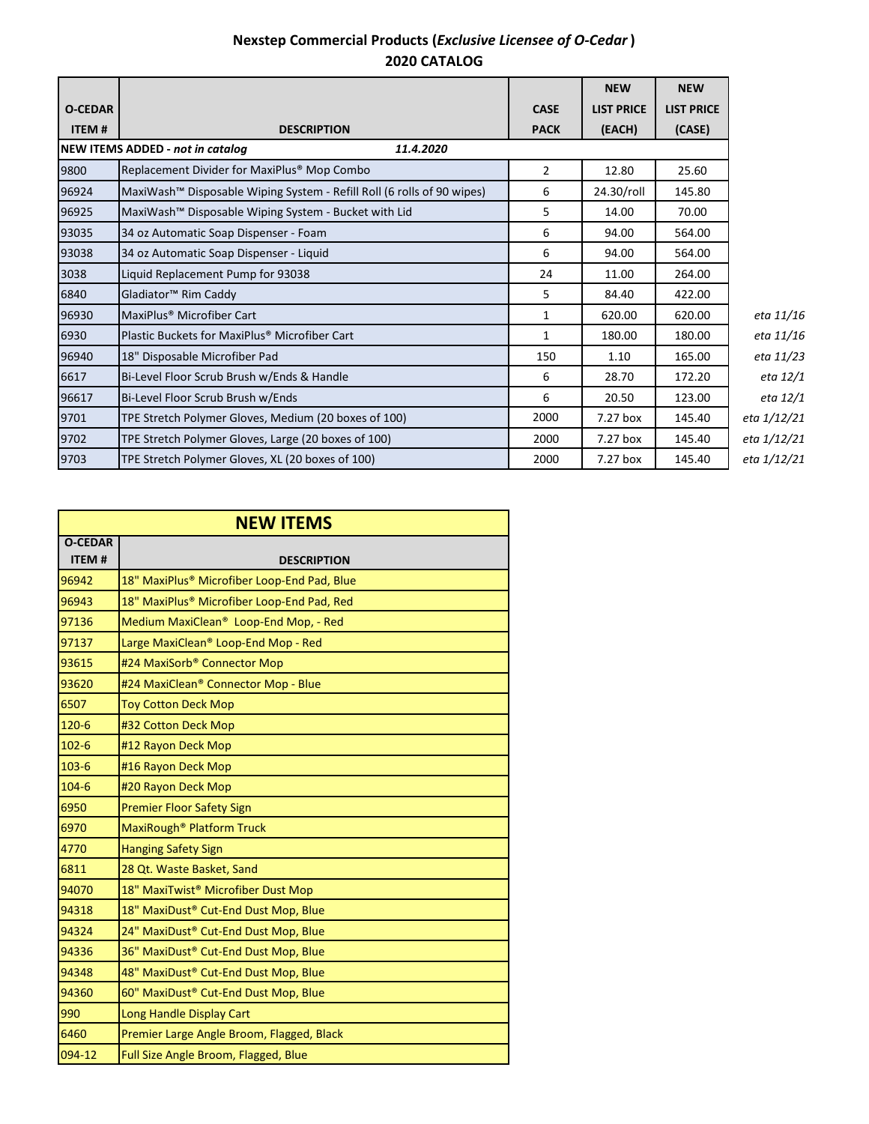## **Nexstep Commercial Products (***Exclusive Licensee of O-Cedar* **) 2020 CATALOG**

|                                               |                                                                        |                | <b>NEW</b>        | <b>NEW</b>        |             |
|-----------------------------------------------|------------------------------------------------------------------------|----------------|-------------------|-------------------|-------------|
| <b>O-CEDAR</b>                                |                                                                        | <b>CASE</b>    | <b>LIST PRICE</b> | <b>LIST PRICE</b> |             |
| <b>ITEM#</b>                                  | <b>DESCRIPTION</b>                                                     | <b>PACK</b>    | (EACH)            | (CASE)            |             |
| NEW ITEMS ADDED - not in catalog<br>11.4.2020 |                                                                        |                |                   |                   |             |
| 9800                                          | Replacement Divider for MaxiPlus <sup>®</sup> Mop Combo                | $\overline{2}$ | 12.80             | 25.60             |             |
| 96924                                         | MaxiWash™ Disposable Wiping System - Refill Roll (6 rolls of 90 wipes) | 6              | 24.30/roll        | 145.80            |             |
| 96925                                         | MaxiWash <sup>™</sup> Disposable Wiping System - Bucket with Lid       | 5              | 14.00             | 70.00             |             |
| 93035                                         | 34 oz Automatic Soap Dispenser - Foam                                  | 6              | 94.00             | 564.00            |             |
| 93038                                         | 34 oz Automatic Soap Dispenser - Liquid                                | 6              | 94.00             | 564.00            |             |
| 3038                                          | Liquid Replacement Pump for 93038                                      | 24             | 11.00             | 264.00            |             |
| 6840                                          | Gladiator <sup>™</sup> Rim Caddy                                       | 5              | 84.40             | 422.00            |             |
| 96930                                         | MaxiPlus <sup>®</sup> Microfiber Cart                                  | 1              | 620.00            | 620.00            | eta 11/16   |
| 6930                                          | Plastic Buckets for MaxiPlus <sup>®</sup> Microfiber Cart              | $\mathbf{1}$   | 180.00            | 180.00            | eta 11/16   |
| 96940                                         | 18" Disposable Microfiber Pad                                          | 150            | 1.10              | 165.00            | eta 11/23   |
| 6617                                          | Bi-Level Floor Scrub Brush w/Ends & Handle                             | 6              | 28.70             | 172.20            | eta 12/1    |
| 96617                                         | Bi-Level Floor Scrub Brush w/Ends                                      | 6              | 20.50             | 123.00            | eta 12/1    |
| 9701                                          | TPE Stretch Polymer Gloves, Medium (20 boxes of 100)                   | 2000           | 7.27 box          | 145.40            | eta 1/12/21 |
| 9702                                          | TPE Stretch Polymer Gloves, Large (20 boxes of 100)                    | 2000           | 7.27 box          | 145.40            | eta 1/12/21 |
| 9703                                          | TPE Stretch Polymer Gloves, XL (20 boxes of 100)                       | 2000           | 7.27 box          | 145.40            | eta 1/12/21 |

| <b>NEW ITEMS</b>               |                                                   |  |  |  |
|--------------------------------|---------------------------------------------------|--|--|--|
| <b>O-CEDAR</b><br><b>ITEM#</b> | <b>DESCRIPTION</b>                                |  |  |  |
| 96942                          | 18" MaxiPlus® Microfiber Loop-End Pad, Blue       |  |  |  |
| 96943                          | 18" MaxiPlus® Microfiber Loop-End Pad, Red        |  |  |  |
| 97136                          | Medium MaxiClean <sup>®</sup> Loop-End Mop, - Red |  |  |  |
| 97137                          | Large MaxiClean® Loop-End Mop - Red               |  |  |  |
| 93615                          | #24 MaxiSorb® Connector Mop                       |  |  |  |
| 93620                          | #24 MaxiClean® Connector Mop - Blue               |  |  |  |
| 6507                           | <b>Toy Cotton Deck Mop</b>                        |  |  |  |
| $120 - 6$                      | #32 Cotton Deck Mop                               |  |  |  |
| $102 - 6$                      | #12 Rayon Deck Mop                                |  |  |  |
| $103 - 6$                      | #16 Rayon Deck Mop                                |  |  |  |
| $104 - 6$                      | #20 Rayon Deck Mop                                |  |  |  |
| 6950                           | <b>Premier Floor Safety Sign</b>                  |  |  |  |
| 6970                           | MaxiRough <sup>®</sup> Platform Truck             |  |  |  |
| 4770                           | <b>Hanging Safety Sign</b>                        |  |  |  |
| 6811                           | 28 Qt. Waste Basket, Sand                         |  |  |  |
| 94070                          | 18" MaxiTwist® Microfiber Dust Mop                |  |  |  |
| 94318                          | 18" MaxiDust® Cut-End Dust Mop, Blue              |  |  |  |
| 94324                          | 24" MaxiDust® Cut-End Dust Mop, Blue              |  |  |  |
| 94336                          | 36" MaxiDust® Cut-End Dust Mop, Blue              |  |  |  |
| 94348                          | 48" MaxiDust® Cut-End Dust Mop, Blue              |  |  |  |
| 94360                          | 60" MaxiDust® Cut-End Dust Mop, Blue              |  |  |  |
| 990                            | Long Handle Display Cart                          |  |  |  |
| 6460                           | Premier Large Angle Broom, Flagged, Black         |  |  |  |
| 094-12                         | Full Size Angle Broom, Flagged, Blue              |  |  |  |